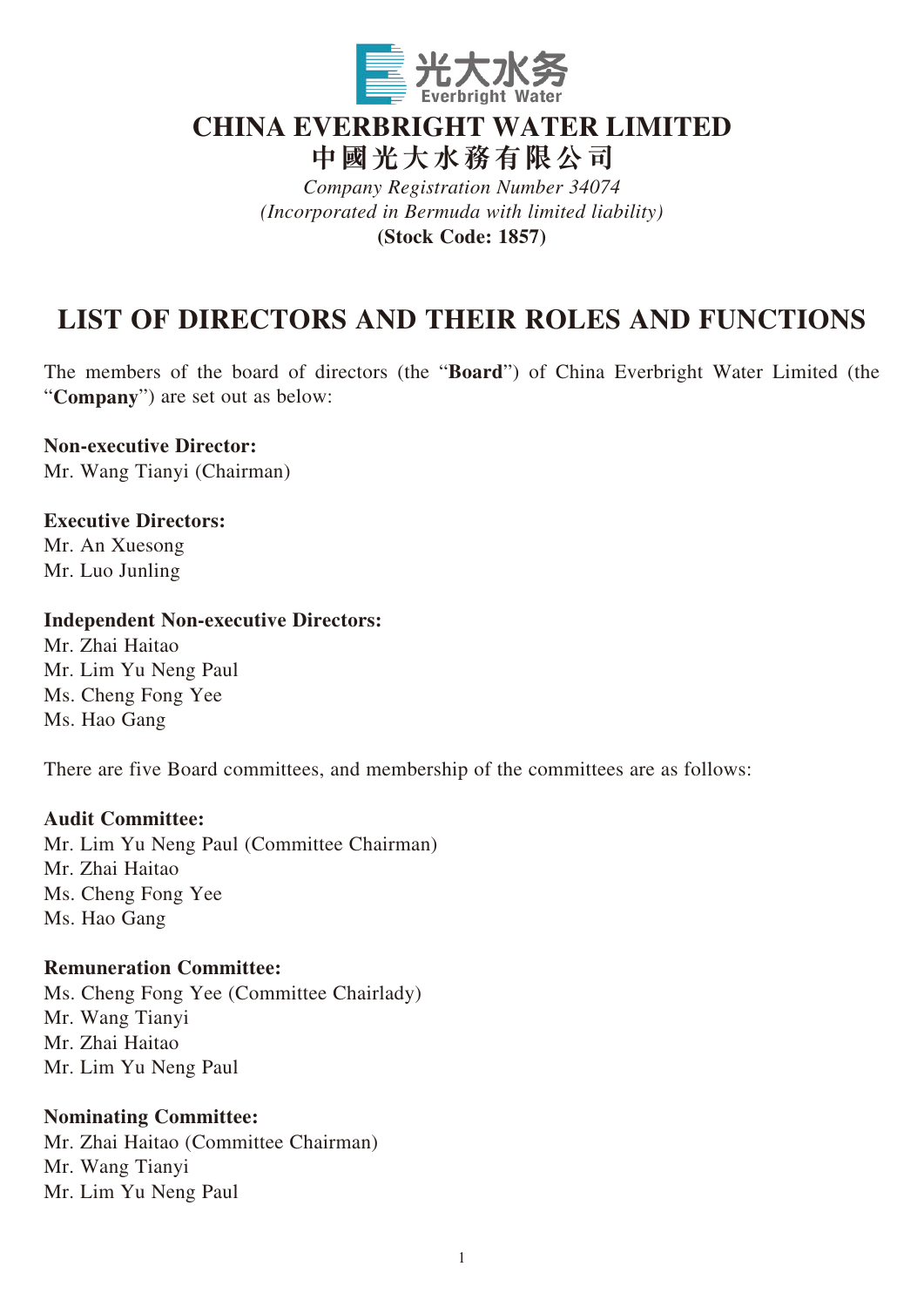

# **CHINA EVERBRIGHT WATER LIMITED**

**中國光大水務有限公司**

*Company Registration Number 34074 (Incorporated in Bermuda with limited liability)* **(Stock Code: 1857)**

# **LIST OF DIRECTORS AND THEIR ROLES AND FUNCTIONS**

The members of the board of directors (the "**Board**") of China Everbright Water Limited (the "**Company**") are set out as below:

**Non-executive Director:**

Mr. Wang Tianyi (Chairman)

**Executive Directors:** Mr. An Xuesong Mr. Luo Junling

## **Independent Non-executive Directors:**

Mr. Zhai Haitao Mr. Lim Yu Neng Paul Ms. Cheng Fong Yee Ms. Hao Gang

There are five Board committees, and membership of the committees are as follows:

## **Audit Committee:**

Mr. Lim Yu Neng Paul (Committee Chairman) Mr. Zhai Haitao Ms. Cheng Fong Yee Ms. Hao Gang

## **Remuneration Committee:**

Ms. Cheng Fong Yee (Committee Chairlady) Mr. Wang Tianyi Mr. Zhai Haitao Mr. Lim Yu Neng Paul

## **Nominating Committee:**

Mr. Zhai Haitao (Committee Chairman) Mr. Wang Tianyi Mr. Lim Yu Neng Paul